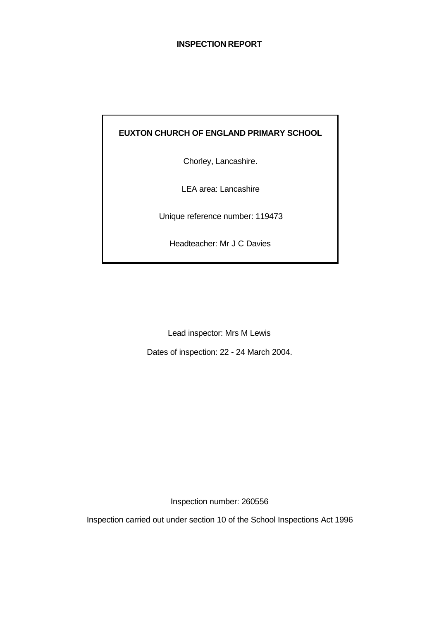# **INSPECTION REPORT**

# **EUXTON CHURCH OF ENGLAND PRIMARY SCHOOL**

Chorley, Lancashire.

LEA area: Lancashire

Unique reference number: 119473

Headteacher: Mr J C Davies

Lead inspector: Mrs M Lewis

Dates of inspection: 22 - 24 March 2004.

Inspection number: 260556

Inspection carried out under section 10 of the School Inspections Act 1996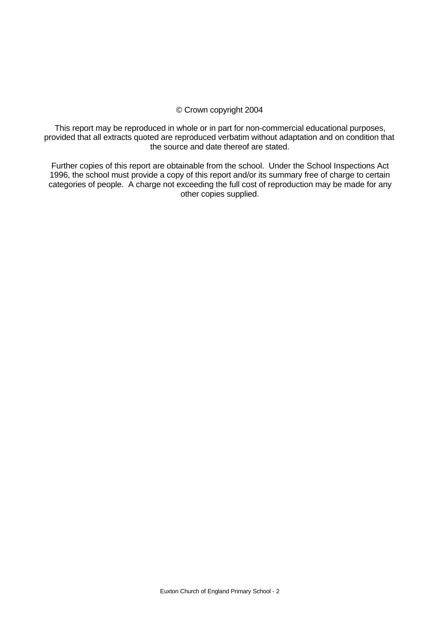### © Crown copyright 2004

This report may be reproduced in whole or in part for non-commercial educational purposes, provided that all extracts quoted are reproduced verbatim without adaptation and on condition that the source and date thereof are stated.

Further copies of this report are obtainable from the school. Under the School Inspections Act 1996, the school must provide a copy of this report and/or its summary free of charge to certain categories of people. A charge not exceeding the full cost of reproduction may be made for any other copies supplied.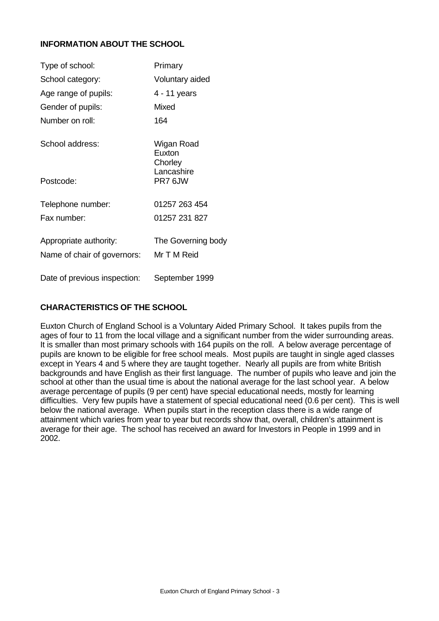# **INFORMATION ABOUT THE SCHOOL**

| Type of school:                                       | Primary                           |
|-------------------------------------------------------|-----------------------------------|
| School category:                                      | Voluntary aided                   |
| Age range of pupils:                                  | 4 - 11 years                      |
| Gender of pupils:                                     | Mixed                             |
| Number on roll:                                       | 164                               |
| School address:                                       | Wigan Road<br>Euxton<br>Chorley   |
| Postcode:                                             | Lancashire<br>PR76JW              |
| Telephone number:                                     | 01257 263 454                     |
| Fax number:                                           | 01257 231 827                     |
| Appropriate authority:<br>Name of chair of governors: | The Governing body<br>Mr T M Reid |
| Date of previous inspection:                          | September 1999                    |

# **CHARACTERISTICS OF THE SCHOOL**

Euxton Church of England School is a Voluntary Aided Primary School. It takes pupils from the ages of four to 11 from the local village and a significant number from the wider surrounding areas. It is smaller than most primary schools with 164 pupils on the roll. A below average percentage of pupils are known to be eligible for free school meals. Most pupils are taught in single aged classes except in Years 4 and 5 where they are taught together. Nearly all pupils are from white British backgrounds and have English as their first language. The number of pupils who leave and join the school at other than the usual time is about the national average for the last school year. A below average percentage of pupils (9 per cent) have special educational needs, mostly for learning difficulties. Very few pupils have a statement of special educational need (0.6 per cent). This is well below the national average. When pupils start in the reception class there is a wide range of attainment which varies from year to year but records show that, overall, children's attainment is average for their age. The school has received an award for Investors in People in 1999 and in 2002.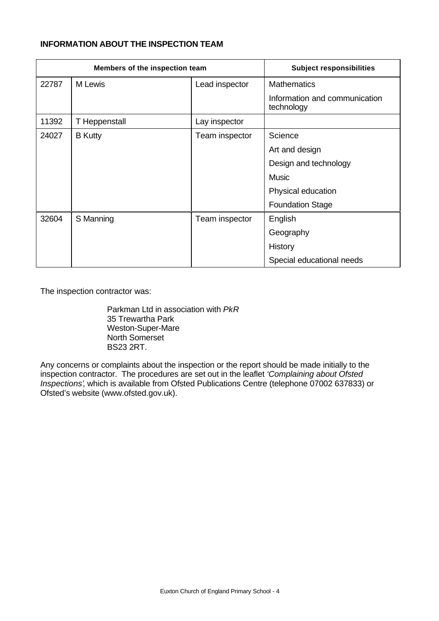# **INFORMATION ABOUT THE INSPECTION TEAM**

| Members of the inspection team |                | <b>Subject responsibilities</b> |                                             |  |
|--------------------------------|----------------|---------------------------------|---------------------------------------------|--|
| 22787                          | M Lewis        | Lead inspector                  | <b>Mathematics</b>                          |  |
|                                |                |                                 | Information and communication<br>technology |  |
| 11392                          | T Heppenstall  | Lay inspector                   |                                             |  |
| 24027                          | <b>B</b> Kutty | Team inspector                  | Science                                     |  |
|                                |                |                                 | Art and design                              |  |
|                                |                |                                 | Design and technology                       |  |
|                                |                |                                 | <b>Music</b>                                |  |
|                                |                |                                 | Physical education                          |  |
|                                |                |                                 | <b>Foundation Stage</b>                     |  |
| 32604                          | S Manning      | Team inspector                  | English                                     |  |
|                                |                |                                 | Geography                                   |  |
|                                |                |                                 | <b>History</b>                              |  |
|                                |                |                                 | Special educational needs                   |  |

The inspection contractor was:

Parkman Ltd in association with *PkR* 35 Trewartha Park Weston-Super-Mare North Somerset BS23 2RT.

Any concerns or complaints about the inspection or the report should be made initially to the inspection contractor. The procedures are set out in the leaflet *'Complaining about Ofsted Inspections'*, which is available from Ofsted Publications Centre (telephone 07002 637833) or Ofsted's website (www.ofsted.gov.uk).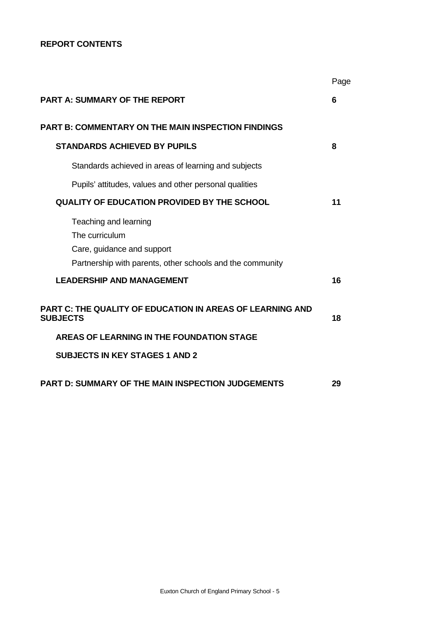# **REPORT CONTENTS**

|                                                                                                                                    | Page |
|------------------------------------------------------------------------------------------------------------------------------------|------|
| <b>PART A: SUMMARY OF THE REPORT</b>                                                                                               | 6    |
| PART B: COMMENTARY ON THE MAIN INSPECTION FINDINGS                                                                                 |      |
| <b>STANDARDS ACHIEVED BY PUPILS</b>                                                                                                | 8    |
| Standards achieved in areas of learning and subjects                                                                               |      |
| Pupils' attitudes, values and other personal qualities                                                                             |      |
| <b>QUALITY OF EDUCATION PROVIDED BY THE SCHOOL</b>                                                                                 | 11   |
| Teaching and learning<br>The curriculum<br>Care, guidance and support<br>Partnership with parents, other schools and the community |      |
| <b>LEADERSHIP AND MANAGEMENT</b>                                                                                                   | 16   |
| PART C: THE QUALITY OF EDUCATION IN AREAS OF LEARNING AND<br><b>SUBJECTS</b>                                                       | 18   |
| AREAS OF LEARNING IN THE FOUNDATION STAGE                                                                                          |      |
| <b>SUBJECTS IN KEY STAGES 1 AND 2</b>                                                                                              |      |
| <b>PART D: SUMMARY OF THE MAIN INSPECTION JUDGEMENTS</b>                                                                           | 29   |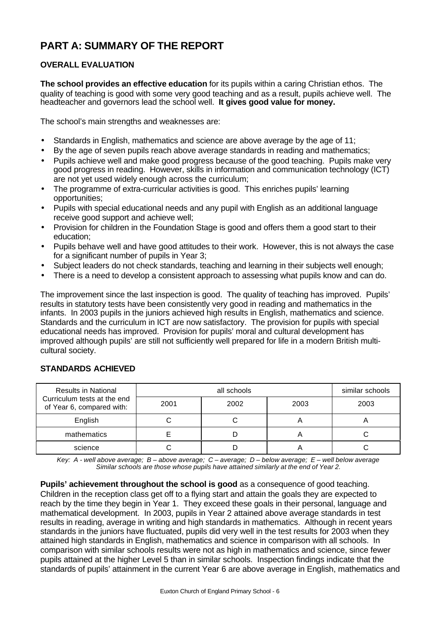# **PART A: SUMMARY OF THE REPORT**

# **OVERALL EVALUATION**

**The school provides an effective education** for its pupils within a caring Christian ethos. The quality of teaching is good with some very good teaching and as a result, pupils achieve well. The headteacher and governors lead the school well. **It gives good value for money.**

The school's main strengths and weaknesses are:

- Standards in English, mathematics and science are above average by the age of 11;
- By the age of seven pupils reach above average standards in reading and mathematics;
- Pupils achieve well and make good progress because of the good teaching. Pupils make very good progress in reading. However, skills in information and communication technology (ICT) are not yet used widely enough across the curriculum;
- The programme of extra-curricular activities is good. This enriches pupils' learning opportunities;
- Pupils with special educational needs and any pupil with English as an additional language receive good support and achieve well;
- Provision for children in the Foundation Stage is good and offers them a good start to their education;
- Pupils behave well and have good attitudes to their work. However, this is not always the case for a significant number of pupils in Year 3;
- Subject leaders do not check standards, teaching and learning in their subjects well enough;
- There is a need to develop a consistent approach to assessing what pupils know and can do.

The improvement since the last inspection is good. The quality of teaching has improved. Pupils' results in statutory tests have been consistently very good in reading and mathematics in the infants. In 2003 pupils in the juniors achieved high results in English, mathematics and science. Standards and the curriculum in ICT are now satisfactory. The provision for pupils with special educational needs has improved. Provision for pupils' moral and cultural development has improved although pupils' are still not sufficiently well prepared for life in a modern British multicultural society.

# Results in National (Section 2008) all schools in the similar schools in the similar schools in the similar schools Curriculum tests at the end  $\frac{1}{2001}$  of Year 6, compared with:  $\begin{vmatrix} 2001 & 2002 & 2003 \end{vmatrix}$  2003 English | C | C | A | A mathematics **E D A** C science | C | D | A | C

# **STANDARDS ACHIEVED**

*Key: A - well above average; B – above average; C – average; D – below average; E – well below average Similar schools are those whose pupils have attained similarly at the end of Year 2.*

**Pupils' achievement throughout the school is good** as a consequence of good teaching. Children in the reception class get off to a flying start and attain the goals they are expected to reach by the time they begin in Year 1. They exceed these goals in their personal, language and mathematical development. In 2003, pupils in Year 2 attained above average standards in test results in reading, average in writing and high standards in mathematics. Although in recent years standards in the juniors have fluctuated, pupils did very well in the test results for 2003 when they attained high standards in English, mathematics and science in comparison with all schools. In comparison with similar schools results were not as high in mathematics and science, since fewer pupils attained at the higher Level 5 than in similar schools. Inspection findings indicate that the standards of pupils' attainment in the current Year 6 are above average in English, mathematics and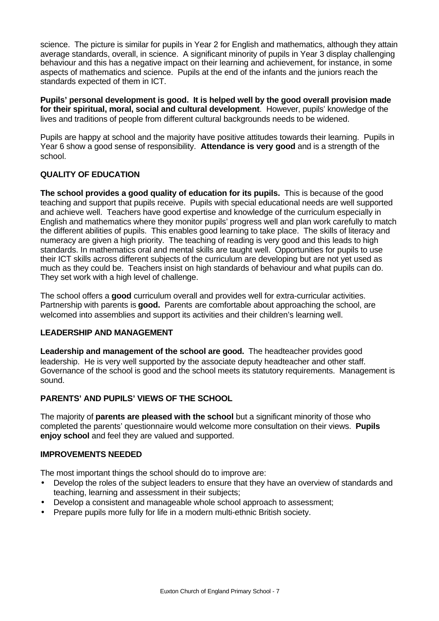science. The picture is similar for pupils in Year 2 for English and mathematics, although they attain average standards, overall, in science. A significant minority of pupils in Year 3 display challenging behaviour and this has a negative impact on their learning and achievement, for instance, in some aspects of mathematics and science. Pupils at the end of the infants and the juniors reach the standards expected of them in ICT.

**Pupils' personal development is good. It is helped well by the good overall provision made for their spiritual, moral, social and cultural development**. However, pupils' knowledge of the lives and traditions of people from different cultural backgrounds needs to be widened.

Pupils are happy at school and the majority have positive attitudes towards their learning. Pupils in Year 6 show a good sense of responsibility. **Attendance is very good** and is a strength of the school.

# **QUALITY OF EDUCATION**

**The school provides a good quality of education for its pupils.** This is because of the good teaching and support that pupils receive. Pupils with special educational needs are well supported and achieve well. Teachers have good expertise and knowledge of the curriculum especially in English and mathematics where they monitor pupils' progress well and plan work carefully to match the different abilities of pupils. This enables good learning to take place. The skills of literacy and numeracy are given a high priority. The teaching of reading is very good and this leads to high standards. In mathematics oral and mental skills are taught well. Opportunities for pupils to use their ICT skills across different subjects of the curriculum are developing but are not yet used as much as they could be. Teachers insist on high standards of behaviour and what pupils can do. They set work with a high level of challenge.

The school offers a **good** curriculum overall and provides well for extra-curricular activities. Partnership with parents is **good.** Parents are comfortable about approaching the school, are welcomed into assemblies and support its activities and their children's learning well.

# **LEADERSHIP AND MANAGEMENT**

**Leadership and management of the school are good.** The headteacher provides good leadership. He is very well supported by the associate deputy headteacher and other staff. Governance of the school is good and the school meets its statutory requirements. Management is sound.

# **PARENTS' AND PUPILS' VIEWS OF THE SCHOOL**

The majority of **parents are pleased with the school** but a significant minority of those who completed the parents' questionnaire would welcome more consultation on their views. **Pupils enjoy school** and feel they are valued and supported.

# **IMPROVEMENTS NEEDED**

The most important things the school should do to improve are:

- Develop the roles of the subject leaders to ensure that they have an overview of standards and teaching, learning and assessment in their subjects;
- Develop a consistent and manageable whole school approach to assessment;
- Prepare pupils more fully for life in a modern multi-ethnic British society.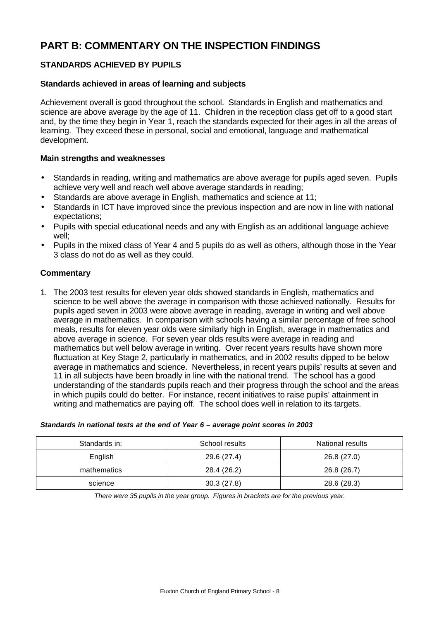# **PART B: COMMENTARY ON THE INSPECTION FINDINGS**

# **STANDARDS ACHIEVED BY PUPILS**

#### **Standards achieved in areas of learning and subjects**

Achievement overall is good throughout the school. Standards in English and mathematics and science are above average by the age of 11. Children in the reception class get off to a good start and, by the time they begin in Year 1, reach the standards expected for their ages in all the areas of learning. They exceed these in personal, social and emotional, language and mathematical development.

## **Main strengths and weaknesses**

- Standards in reading, writing and mathematics are above average for pupils aged seven. Pupils achieve very well and reach well above average standards in reading;
- Standards are above average in English, mathematics and science at 11;
- Standards in ICT have improved since the previous inspection and are now in line with national expectations;
- Pupils with special educational needs and any with English as an additional language achieve well;
- Pupils in the mixed class of Year 4 and 5 pupils do as well as others, although those in the Year 3 class do not do as well as they could.

### **Commentary**

1. The 2003 test results for eleven year olds showed standards in English, mathematics and science to be well above the average in comparison with those achieved nationally. Results for pupils aged seven in 2003 were above average in reading, average in writing and well above average in mathematics. In comparison with schools having a similar percentage of free school meals, results for eleven year olds were similarly high in English, average in mathematics and above average in science. For seven year olds results were average in reading and mathematics but well below average in writing. Over recent years results have shown more fluctuation at Key Stage 2, particularly in mathematics, and in 2002 results dipped to be below average in mathematics and science. Nevertheless, in recent years pupils' results at seven and 11 in all subjects have been broadly in line with the national trend. The school has a good understanding of the standards pupils reach and their progress through the school and the areas in which pupils could do better. For instance, recent initiatives to raise pupils' attainment in writing and mathematics are paying off. The school does well in relation to its targets.

#### *Standards in national tests at the end of Year 6 – average point scores in 2003*

| Standards in: | School results | National results |
|---------------|----------------|------------------|
| English       | 29.6 (27.4)    | 26.8(27.0)       |
| mathematics   | 28.4 (26.2)    | 26.8 (26.7)      |
| science       | 30.3(27.8)     | 28.6 (28.3)      |

*There were 35 pupils in the year group. Figures in brackets are for the previous year.*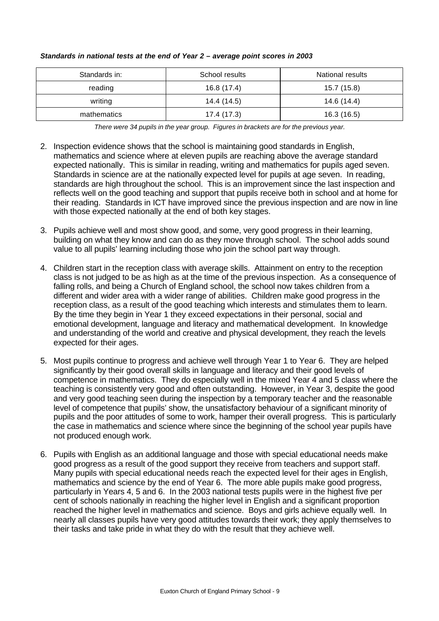| Standards in: | School results | National results |
|---------------|----------------|------------------|
| reading       | 16.8 (17.4)    | 15.7 (15.8)      |
| writing       | 14.4 (14.5)    | 14.6 (14.4)      |
| mathematics   | 17.4 (17.3)    | 16.3(16.5)       |

#### *Standards in national tests at the end of Year 2 – average point scores in 2003*

*There were 34 pupils in the year group. Figures in brackets are for the previous year.*

- 2. Inspection evidence shows that the school is maintaining good standards in English, mathematics and science where at eleven pupils are reaching above the average standard expected nationally. This is similar in reading, writing and mathematics for pupils aged seven. Standards in science are at the nationally expected level for pupils at age seven. In reading, standards are high throughout the school. This is an improvement since the last inspection and reflects well on the good teaching and support that pupils receive both in school and at home for their reading. Standards in ICT have improved since the previous inspection and are now in line with those expected nationally at the end of both key stages.
- 3. Pupils achieve well and most show good, and some, very good progress in their learning, building on what they know and can do as they move through school. The school adds sound value to all pupils' learning including those who join the school part way through.
- 4. Children start in the reception class with average skills. Attainment on entry to the reception class is not judged to be as high as at the time of the previous inspection. As a consequence of falling rolls, and being a Church of England school, the school now takes children from a different and wider area with a wider range of abilities. Children make good progress in the reception class, as a result of the good teaching which interests and stimulates them to learn. By the time they begin in Year 1 they exceed expectations in their personal, social and emotional development, language and literacy and mathematical development. In knowledge and understanding of the world and creative and physical development, they reach the levels expected for their ages.
- 5. Most pupils continue to progress and achieve well through Year 1 to Year 6. They are helped significantly by their good overall skills in language and literacy and their good levels of competence in mathematics. They do especially well in the mixed Year 4 and 5 class where the teaching is consistently very good and often outstanding. However, in Year 3, despite the good and very good teaching seen during the inspection by a temporary teacher and the reasonable level of competence that pupils' show, the unsatisfactory behaviour of a significant minority of pupils and the poor attitudes of some to work, hamper their overall progress. This is particularly the case in mathematics and science where since the beginning of the school year pupils have not produced enough work.
- 6. Pupils with English as an additional language and those with special educational needs make good progress as a result of the good support they receive from teachers and support staff. Many pupils with special educational needs reach the expected level for their ages in English, mathematics and science by the end of Year 6. The more able pupils make good progress, particularly in Years 4, 5 and 6. In the 2003 national tests pupils were in the highest five per cent of schools nationally in reaching the higher level in English and a significant proportion reached the higher level in mathematics and science. Boys and girls achieve equally well. In nearly all classes pupils have very good attitudes towards their work; they apply themselves to their tasks and take pride in what they do with the result that they achieve well.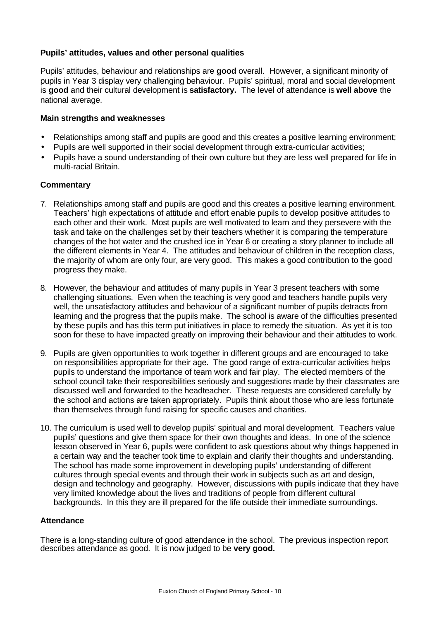# **Pupils' attitudes, values and other personal qualities**

Pupils' attitudes, behaviour and relationships are **good** overall.However, a significant minority of pupils in Year 3 display very challenging behaviour. Pupils' spiritual, moral and social development is **good** and their cultural development is **satisfactory.** The level of attendance is **well above** the national average.

### **Main strengths and weaknesses**

- Relationships among staff and pupils are good and this creates a positive learning environment;
- Pupils are well supported in their social development through extra-curricular activities;
- Pupils have a sound understanding of their own culture but they are less well prepared for life in multi-racial Britain.

### **Commentary**

- 7. Relationships among staff and pupils are good and this creates a positive learning environment. Teachers' high expectations of attitude and effort enable pupils to develop positive attitudes to each other and their work. Most pupils are well motivated to learn and they persevere with the task and take on the challenges set by their teachers whether it is comparing the temperature changes of the hot water and the crushed ice in Year 6 or creating a story planner to include all the different elements in Year 4. The attitudes and behaviour of children in the reception class, the majority of whom are only four, are very good. This makes a good contribution to the good progress they make.
- 8. However, the behaviour and attitudes of many pupils in Year 3 present teachers with some challenging situations. Even when the teaching is very good and teachers handle pupils very well, the unsatisfactory attitudes and behaviour of a significant number of pupils detracts from learning and the progress that the pupils make. The school is aware of the difficulties presented by these pupils and has this term put initiatives in place to remedy the situation. As yet it is too soon for these to have impacted greatly on improving their behaviour and their attitudes to work.
- 9. Pupils are given opportunities to work together in different groups and are encouraged to take on responsibilities appropriate for their age. The good range of extra-curricular activities helps pupils to understand the importance of team work and fair play. The elected members of the school council take their responsibilities seriously and suggestions made by their classmates are discussed well and forwarded to the headteacher. These requests are considered carefully by the school and actions are taken appropriately. Pupils think about those who are less fortunate than themselves through fund raising for specific causes and charities.
- 10. The curriculum is used well to develop pupils' spiritual and moral development. Teachers value pupils' questions and give them space for their own thoughts and ideas. In one of the science lesson observed in Year 6, pupils were confident to ask questions about why things happened in a certain way and the teacher took time to explain and clarify their thoughts and understanding. The school has made some improvement in developing pupils' understanding of different cultures through special events and through their work in subjects such as art and design, design and technology and geography. However, discussions with pupils indicate that they have very limited knowledge about the lives and traditions of people from different cultural backgrounds. In this they are ill prepared for the life outside their immediate surroundings.

## **Attendance**

There is a long-standing culture of good attendance in the school. The previous inspection report describes attendance as good. It is now judged to be **very good.**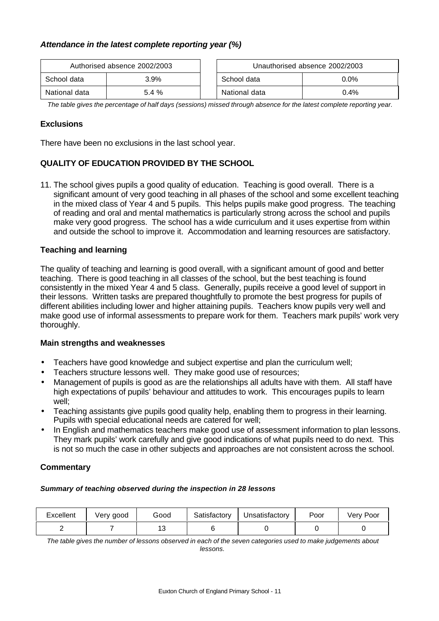# *Attendance in the latest complete reporting year (%)*

| Authorised absence 2002/2003 |         |                        | Unauthorised absence 2002/2003 |
|------------------------------|---------|------------------------|--------------------------------|
| School data                  | $3.9\%$ | $0.0\%$<br>School data |                                |
| National data                | 5.4 %   | National data          | $0.4\%$                        |

*The table gives the percentage of half days (sessions) missed through absence for the latest complete reporting year.*

# **Exclusions**

There have been no exclusions in the last school year.

# **QUALITY OF EDUCATION PROVIDED BY THE SCHOOL**

11. The school gives pupils a good quality of education. Teaching is good overall. There is a significant amount of very good teaching in all phases of the school and some excellent teaching in the mixed class of Year 4 and 5 pupils. This helps pupils make good progress. The teaching of reading and oral and mental mathematics is particularly strong across the school and pupils make very good progress. The school has a wide curriculum and it uses expertise from within and outside the school to improve it. Accommodation and learning resources are satisfactory.

# **Teaching and learning**

The quality of teaching and learning is good overall, with a significant amount of good and better teaching. There is good teaching in all classes of the school, but the best teaching is found consistently in the mixed Year 4 and 5 class. Generally, pupils receive a good level of support in their lessons. Written tasks are prepared thoughtfully to promote the best progress for pupils of different abilities including lower and higher attaining pupils. Teachers know pupils very well and make good use of informal assessments to prepare work for them. Teachers mark pupils' work very thoroughly.

#### **Main strengths and weaknesses**

- Teachers have good knowledge and subject expertise and plan the curriculum well;
- Teachers structure lessons well. They make good use of resources;
- Management of pupils is good as are the relationships all adults have with them. All staff have high expectations of pupils' behaviour and attitudes to work. This encourages pupils to learn well;
- Teaching assistants give pupils good quality help, enabling them to progress in their learning. Pupils with special educational needs are catered for well;
- In English and mathematics teachers make good use of assessment information to plan lessons. They mark pupils' work carefully and give good indications of what pupils need to do next. This is not so much the case in other subjects and approaches are not consistent across the school.

#### **Commentary**

#### *Summary of teaching observed during the inspection in 28 lessons*

| Excellent | Very good | Good                 | Satisfactory | Unsatisfactory | Poor | Poor<br>Verv . |
|-----------|-----------|----------------------|--------------|----------------|------|----------------|
|           |           | $\overline{ }$<br>⊶י |              |                |      |                |

*The table gives the number of lessons observed in each of the seven categories used to make judgements about lessons.*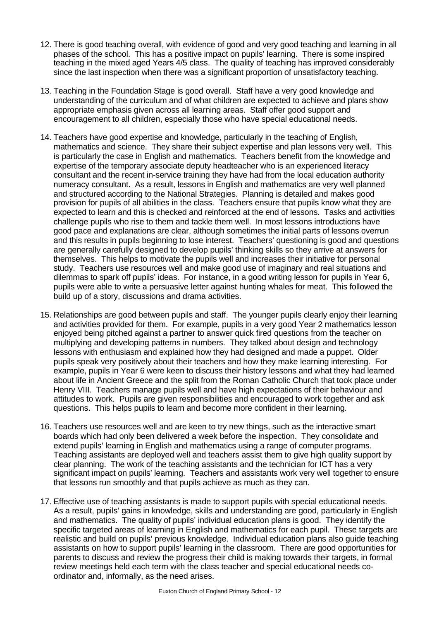- 12. There is good teaching overall, with evidence of good and very good teaching and learning in all phases of the school. This has a positive impact on pupils' learning. There is some inspired teaching in the mixed aged Years 4/5 class. The quality of teaching has improved considerably since the last inspection when there was a significant proportion of unsatisfactory teaching.
- 13. Teaching in the Foundation Stage is good overall. Staff have a very good knowledge and understanding of the curriculum and of what children are expected to achieve and plans show appropriate emphasis given across all learning areas. Staff offer good support and encouragement to all children, especially those who have special educational needs.
- 14. Teachers have good expertise and knowledge, particularly in the teaching of English, mathematics and science. They share their subject expertise and plan lessons very well. This is particularly the case in English and mathematics. Teachers benefit from the knowledge and expertise of the temporary associate deputy headteacher who is an experienced literacy consultant and the recent in-service training they have had from the local education authority numeracy consultant. As a result, lessons in English and mathematics are very well planned and structured according to the National Strategies. Planning is detailed and makes good provision for pupils of all abilities in the class. Teachers ensure that pupils know what they are expected to learn and this is checked and reinforced at the end of lessons. Tasks and activities challenge pupils who rise to them and tackle them well. In most lessons introductions have good pace and explanations are clear, although sometimes the initial parts of lessons overrun and this results in pupils beginning to lose interest. Teachers' questioning is good and questions are generally carefully designed to develop pupils' thinking skills so they arrive at answers for themselves. This helps to motivate the pupils well and increases their initiative for personal study. Teachers use resources well and make good use of imaginary and real situations and dilemmas to spark off pupils' ideas. For instance, in a good writing lesson for pupils in Year 6, pupils were able to write a persuasive letter against hunting whales for meat. This followed the build up of a story, discussions and drama activities.
- 15. Relationships are good between pupils and staff. The younger pupils clearly enjoy their learning and activities provided for them. For example, pupils in a very good Year 2 mathematics lesson enjoyed being pitched against a partner to answer quick fired questions from the teacher on multiplying and developing patterns in numbers. They talked about design and technology lessons with enthusiasm and explained how they had designed and made a puppet. Older pupils speak very positively about their teachers and how they make learning interesting. For example, pupils in Year 6 were keen to discuss their history lessons and what they had learned about life in Ancient Greece and the split from the Roman Catholic Church that took place under Henry VIII. Teachers manage pupils well and have high expectations of their behaviour and attitudes to work. Pupils are given responsibilities and encouraged to work together and ask questions. This helps pupils to learn and become more confident in their learning.
- 16. Teachers use resources well and are keen to try new things, such as the interactive smart boards which had only been delivered a week before the inspection. They consolidate and extend pupils' learning in English and mathematics using a range of computer programs. Teaching assistants are deployed well and teachers assist them to give high quality support by clear planning. The work of the teaching assistants and the technician for ICT has a very significant impact on pupils' learning. Teachers and assistants work very well together to ensure that lessons run smoothly and that pupils achieve as much as they can.
- 17. Effective use of teaching assistants is made to support pupils with special educational needs. As a result, pupils' gains in knowledge, skills and understanding are good, particularly in English and mathematics. The quality of pupils' individual education plans is good. They identify the specific targeted areas of learning in English and mathematics for each pupil. These targets are realistic and build on pupils' previous knowledge. Individual education plans also guide teaching assistants on how to support pupils' learning in the classroom. There are good opportunities for parents to discuss and review the progress their child is making towards their targets, in formal review meetings held each term with the class teacher and special educational needs coordinator and, informally, as the need arises.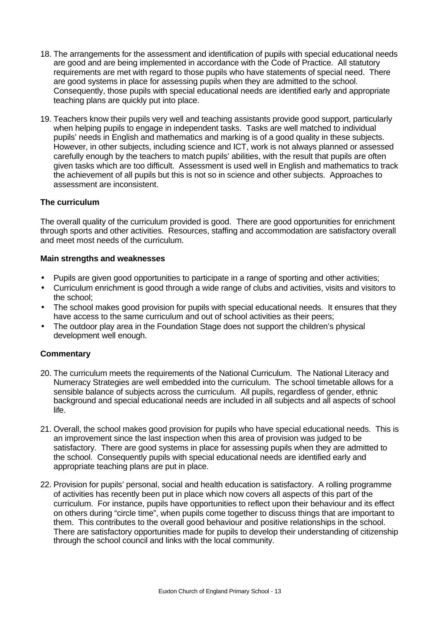- 18. The arrangements for the assessment and identification of pupils with special educational needs are good and are being implemented in accordance with the Code of Practice. All statutory requirements are met with regard to those pupils who have statements of special need. There are good systems in place for assessing pupils when they are admitted to the school. Consequently, those pupils with special educational needs are identified early and appropriate teaching plans are quickly put into place.
- 19. Teachers know their pupils very well and teaching assistants provide good support, particularly when helping pupils to engage in independent tasks. Tasks are well matched to individual pupils' needs in English and mathematics and marking is of a good quality in these subjects. However, in other subjects, including science and ICT, work is not always planned or assessed carefully enough by the teachers to match pupils' abilities, with the result that pupils are often given tasks which are too difficult. Assessment is used well in English and mathematics to track the achievement of all pupils but this is not so in science and other subjects. Approaches to assessment are inconsistent.

# **The curriculum**

The overall quality of the curriculum provided is good. There are good opportunities for enrichment through sports and other activities. Resources, staffing and accommodation are satisfactory overall and meet most needs of the curriculum.

### **Main strengths and weaknesses**

- Pupils are given good opportunities to participate in a range of sporting and other activities;
- Curriculum enrichment is good through a wide range of clubs and activities, visits and visitors to the school;
- The school makes good provision for pupils with special educational needs. It ensures that they have access to the same curriculum and out of school activities as their peers;
- The outdoor play area in the Foundation Stage does not support the children's physical development well enough.

- 20. The curriculum meets the requirements of the National Curriculum. The National Literacy and Numeracy Strategies are well embedded into the curriculum. The school timetable allows for a sensible balance of subjects across the curriculum. All pupils, regardless of gender, ethnic background and special educational needs are included in all subjects and all aspects of school life.
- 21. Overall, the school makes good provision for pupils who have special educational needs. This is an improvement since the last inspection when this area of provision was judged to be satisfactory. There are good systems in place for assessing pupils when they are admitted to the school. Consequently pupils with special educational needs are identified early and appropriate teaching plans are put in place.
- 22. Provision for pupils' personal, social and health education is satisfactory. A rolling programme of activities has recently been put in place which now covers all aspects of this part of the curriculum. For instance, pupils have opportunities to reflect upon their behaviour and its effect on others during "circle time", when pupils come together to discuss things that are important to them. This contributes to the overall good behaviour and positive relationships in the school. There are satisfactory opportunities made for pupils to develop their understanding of citizenship through the school council and links with the local community.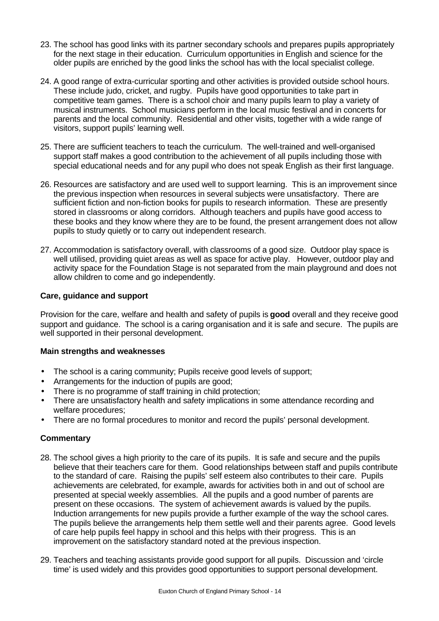- 23. The school has good links with its partner secondary schools and prepares pupils appropriately for the next stage in their education. Curriculum opportunities in English and science for the older pupils are enriched by the good links the school has with the local specialist college.
- 24. A good range of extra-curricular sporting and other activities is provided outside school hours. These include judo, cricket, and rugby. Pupils have good opportunities to take part in competitive team games. There is a school choir and many pupils learn to play a variety of musical instruments. School musicians perform in the local music festival and in concerts for parents and the local community. Residential and other visits, together with a wide range of visitors, support pupils' learning well.
- 25. There are sufficient teachers to teach the curriculum. The well-trained and well-organised support staff makes a good contribution to the achievement of all pupils including those with special educational needs and for any pupil who does not speak English as their first language.
- 26. Resources are satisfactory and are used well to support learning. This is an improvement since the previous inspection when resources in several subjects were unsatisfactory. There are sufficient fiction and non-fiction books for pupils to research information. These are presently stored in classrooms or along corridors. Although teachers and pupils have good access to these books and they know where they are to be found, the present arrangement does not allow pupils to study quietly or to carry out independent research.
- 27. Accommodation is satisfactory overall, with classrooms of a good size. Outdoor play space is well utilised, providing quiet areas as well as space for active play. However, outdoor play and activity space for the Foundation Stage is not separated from the main playground and does not allow children to come and go independently.

# **Care, guidance and support**

Provision for the care, welfare and health and safety of pupils is **good** overall and they receive good support and guidance. The school is a caring organisation and it is safe and secure. The pupils are well supported in their personal development.

# **Main strengths and weaknesses**

- The school is a caring community; Pupils receive good levels of support;
- Arrangements for the induction of pupils are good;
- There is no programme of staff training in child protection;
- There are unsatisfactory health and safety implications in some attendance recording and welfare procedures;
- There are no formal procedures to monitor and record the pupils' personal development.

- 28. The school gives a high priority to the care of its pupils. It is safe and secure and the pupils believe that their teachers care for them. Good relationships between staff and pupils contribute to the standard of care. Raising the pupils' self esteem also contributes to their care. Pupils achievements are celebrated, for example, awards for activities both in and out of school are presented at special weekly assemblies. All the pupils and a good number of parents are present on these occasions. The system of achievement awards is valued by the pupils. Induction arrangements for new pupils provide a further example of the way the school cares. The pupils believe the arrangements help them settle well and their parents agree. Good levels of care help pupils feel happy in school and this helps with their progress. This is an improvement on the satisfactory standard noted at the previous inspection.
- 29. Teachers and teaching assistants provide good support for all pupils. Discussion and 'circle time' is used widely and this provides good opportunities to support personal development.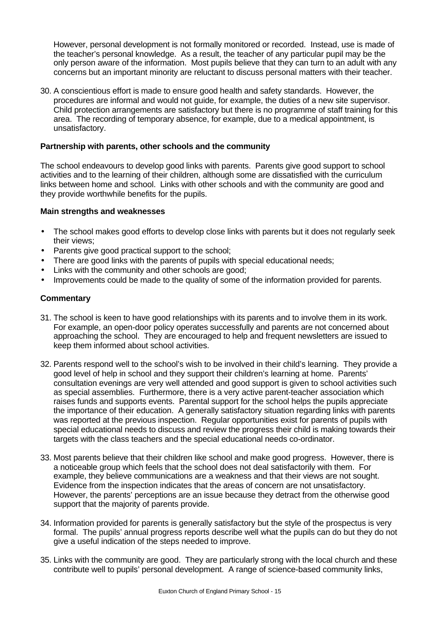However, personal development is not formally monitored or recorded. Instead, use is made of the teacher's personal knowledge. As a result, the teacher of any particular pupil may be the only person aware of the information. Most pupils believe that they can turn to an adult with any concerns but an important minority are reluctant to discuss personal matters with their teacher.

30. A conscientious effort is made to ensure good health and safety standards. However, the procedures are informal and would not guide, for example, the duties of a new site supervisor. Child protection arrangements are satisfactory but there is no programme of staff training for this area. The recording of temporary absence, for example, due to a medical appointment, is unsatisfactory.

# **Partnership with parents, other schools and the community**

The school endeavours to develop good links with parents. Parents give good support to school activities and to the learning of their children, although some are dissatisfied with the curriculum links between home and school. Links with other schools and with the community are good and they provide worthwhile benefits for the pupils.

#### **Main strengths and weaknesses**

- The school makes good efforts to develop close links with parents but it does not regularly seek their views;
- Parents give good practical support to the school;
- There are good links with the parents of pupils with special educational needs;
- Links with the community and other schools are good;
- Improvements could be made to the quality of some of the information provided for parents.

- 31. The school is keen to have good relationships with its parents and to involve them in its work. For example, an open-door policy operates successfully and parents are not concerned about approaching the school. They are encouraged to help and frequent newsletters are issued to keep them informed about school activities.
- 32. Parents respond well to the school's wish to be involved in their child's learning. They provide a good level of help in school and they support their children's learning at home. Parents' consultation evenings are very well attended and good support is given to school activities such as special assemblies. Furthermore, there is a very active parent-teacher association which raises funds and supports events. Parental support for the school helps the pupils appreciate the importance of their education. A generally satisfactory situation regarding links with parents was reported at the previous inspection. Regular opportunities exist for parents of pupils with special educational needs to discuss and review the progress their child is making towards their targets with the class teachers and the special educational needs co-ordinator.
- 33. Most parents believe that their children like school and make good progress. However, there is a noticeable group which feels that the school does not deal satisfactorily with them. For example, they believe communications are a weakness and that their views are not sought. Evidence from the inspection indicates that the areas of concern are not unsatisfactory. However, the parents' perceptions are an issue because they detract from the otherwise good support that the majority of parents provide.
- 34. Information provided for parents is generally satisfactory but the style of the prospectus is very formal. The pupils' annual progress reports describe well what the pupils can do but they do not give a useful indication of the steps needed to improve.
- 35. Links with the community are good. They are particularly strong with the local church and these contribute well to pupils' personal development. A range of science-based community links,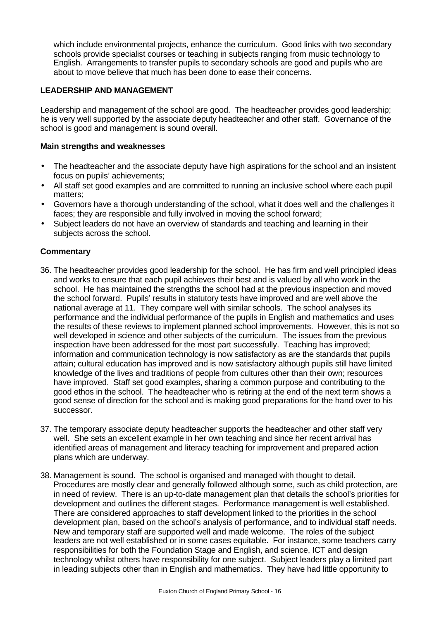which include environmental projects, enhance the curriculum. Good links with two secondary schools provide specialist courses or teaching in subjects ranging from music technology to English. Arrangements to transfer pupils to secondary schools are good and pupils who are about to move believe that much has been done to ease their concerns.

# **LEADERSHIP AND MANAGEMENT**

Leadership and management of the school are good. The headteacher provides good leadership; he is very well supported by the associate deputy headteacher and other staff. Governance of the school is good and management is sound overall.

## **Main strengths and weaknesses**

- The headteacher and the associate deputy have high aspirations for the school and an insistent focus on pupils' achievements;
- All staff set good examples and are committed to running an inclusive school where each pupil matters;
- Governors have a thorough understanding of the school, what it does well and the challenges it faces; they are responsible and fully involved in moving the school forward;
- Subject leaders do not have an overview of standards and teaching and learning in their subjects across the school.

- 36. The headteacher provides good leadership for the school. He has firm and well principled ideas and works to ensure that each pupil achieves their best and is valued by all who work in the school. He has maintained the strengths the school had at the previous inspection and moved the school forward. Pupils' results in statutory tests have improved and are well above the national average at 11. They compare well with similar schools. The school analyses its performance and the individual performance of the pupils in English and mathematics and uses the results of these reviews to implement planned school improvements. However, this is not so well developed in science and other subjects of the curriculum. The issues from the previous inspection have been addressed for the most part successfully. Teaching has improved; information and communication technology is now satisfactory as are the standards that pupils attain; cultural education has improved and is now satisfactory although pupils still have limited knowledge of the lives and traditions of people from cultures other than their own; resources have improved. Staff set good examples, sharing a common purpose and contributing to the good ethos in the school. The headteacher who is retiring at the end of the next term shows a good sense of direction for the school and is making good preparations for the hand over to his successor.
- 37. The temporary associate deputy headteacher supports the headteacher and other staff very well. She sets an excellent example in her own teaching and since her recent arrival has identified areas of management and literacy teaching for improvement and prepared action plans which are underway.
- 38. Management is sound. The school is organised and managed with thought to detail. Procedures are mostly clear and generally followed although some, such as child protection, are in need of review. There is an up-to-date management plan that details the school's priorities for development and outlines the different stages. Performance management is well established. There are considered approaches to staff development linked to the priorities in the school development plan, based on the school's analysis of performance, and to individual staff needs. New and temporary staff are supported well and made welcome. The roles of the subject leaders are not well established or in some cases equitable. For instance, some teachers carry responsibilities for both the Foundation Stage and English, and science, ICT and design technology whilst others have responsibility for one subject. Subject leaders play a limited part in leading subjects other than in English and mathematics. They have had little opportunity to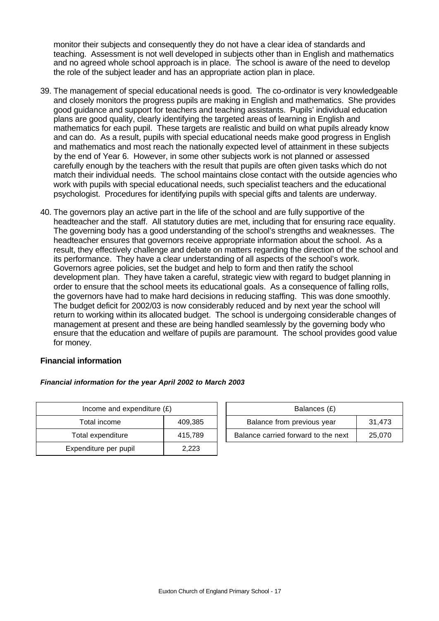monitor their subjects and consequently they do not have a clear idea of standards and teaching. Assessment is not well developed in subjects other than in English and mathematics and no agreed whole school approach is in place. The school is aware of the need to develop the role of the subject leader and has an appropriate action plan in place.

- 39. The management of special educational needs is good. The co-ordinator is very knowledgeable and closely monitors the progress pupils are making in English and mathematics. She provides good guidance and support for teachers and teaching assistants. Pupils' individual education plans are good quality, clearly identifying the targeted areas of learning in English and mathematics for each pupil. These targets are realistic and build on what pupils already know and can do. As a result, pupils with special educational needs make good progress in English and mathematics and most reach the nationally expected level of attainment in these subjects by the end of Year 6. However, in some other subjects work is not planned or assessed carefully enough by the teachers with the result that pupils are often given tasks which do not match their individual needs. The school maintains close contact with the outside agencies who work with pupils with special educational needs, such specialist teachers and the educational psychologist. Procedures for identifying pupils with special gifts and talents are underway.
- 40. The governors play an active part in the life of the school and are fully supportive of the headteacher and the staff. All statutory duties are met, including that for ensuring race equality. The governing body has a good understanding of the school's strengths and weaknesses. The headteacher ensures that governors receive appropriate information about the school. As a result, they effectively challenge and debate on matters regarding the direction of the school and its performance. They have a clear understanding of all aspects of the school's work. Governors agree policies, set the budget and help to form and then ratify the school development plan. They have taken a careful, strategic view with regard to budget planning in order to ensure that the school meets its educational goals. As a consequence of falling rolls, the governors have had to make hard decisions in reducing staffing. This was done smoothly. The budget deficit for 2002/03 is now considerably reduced and by next year the school will return to working within its allocated budget. The school is undergoing considerable changes of management at present and these are being handled seamlessly by the governing body who ensure that the education and welfare of pupils are paramount. The school provides good value for money.

# **Financial information**

#### *Financial information for the year April 2002 to March 2003*

| Income and expenditure $(E)$ |         |  | Balances (£)                   |
|------------------------------|---------|--|--------------------------------|
| Total income                 | 409,385 |  | Balance from previous year     |
| Total expenditure            | 415,789 |  | Balance carried forward to the |
| Expenditure per pupil        | 2,223   |  |                                |

| Income and expenditure $(E)$ |         |                            | Balances (£)                        |        |
|------------------------------|---------|----------------------------|-------------------------------------|--------|
| Total income                 | 409,385 | Balance from previous year |                                     | 31.473 |
| Total expenditure            | 415.789 |                            | Balance carried forward to the next | 25.070 |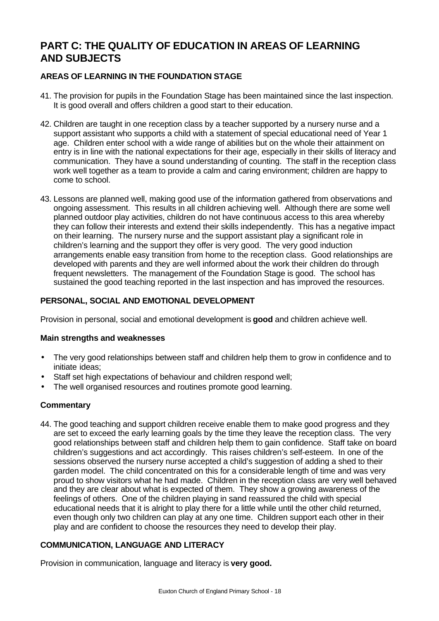# **PART C: THE QUALITY OF EDUCATION IN AREAS OF LEARNING AND SUBJECTS**

# **AREAS OF LEARNING IN THE FOUNDATION STAGE**

- 41. The provision for pupils in the Foundation Stage has been maintained since the last inspection. It is good overall and offers children a good start to their education.
- 42. Children are taught in one reception class by a teacher supported by a nursery nurse and a support assistant who supports a child with a statement of special educational need of Year 1 age. Children enter school with a wide range of abilities but on the whole their attainment on entry is in line with the national expectations for their age, especially in their skills of literacy and communication. They have a sound understanding of counting. The staff in the reception class work well together as a team to provide a calm and caring environment; children are happy to come to school.
- 43. Lessons are planned well, making good use of the information gathered from observations and ongoing assessment. This results in all children achieving well. Although there are some well planned outdoor play activities, children do not have continuous access to this area whereby they can follow their interests and extend their skills independently. This has a negative impact on their learning. The nursery nurse and the support assistant play a significant role in children's learning and the support they offer is very good. The very good induction arrangements enable easy transition from home to the reception class. Good relationships are developed with parents and they are well informed about the work their children do through frequent newsletters. The management of the Foundation Stage is good. The school has sustained the good teaching reported in the last inspection and has improved the resources.

# **PERSONAL, SOCIAL AND EMOTIONAL DEVELOPMENT**

Provision in personal, social and emotional development is **good** and children achieve well.

# **Main strengths and weaknesses**

- The very good relationships between staff and children help them to grow in confidence and to initiate ideas;
- Staff set high expectations of behaviour and children respond well;
- The well organised resources and routines promote good learning.

# **Commentary**

44. The good teaching and support children receive enable them to make good progress and they are set to exceed the early learning goals by the time they leave the reception class. The very good relationships between staff and children help them to gain confidence. Staff take on board children's suggestions and act accordingly. This raises children's self-esteem. In one of the sessions observed the nursery nurse accepted a child's suggestion of adding a shed to their garden model. The child concentrated on this for a considerable length of time and was very proud to show visitors what he had made. Children in the reception class are very well behaved and they are clear about what is expected of them. They show a growing awareness of the feelings of others. One of the children playing in sand reassured the child with special educational needs that it is alright to play there for a little while until the other child returned, even though only two children can play at any one time. Children support each other in their play and are confident to choose the resources they need to develop their play.

# **COMMUNICATION, LANGUAGE AND LITERACY**

Provision in communication, language and literacy is **very good.**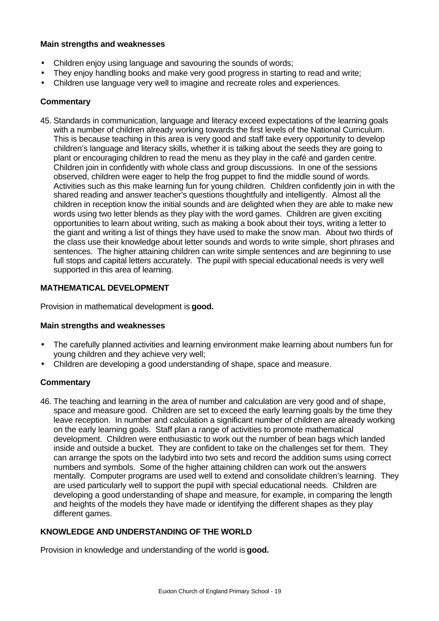## **Main strengths and weaknesses**

- Children enjoy using language and savouring the sounds of words;
- They enjoy handling books and make very good progress in starting to read and write;
- Children use language very well to imagine and recreate roles and experiences.

# **Commentary**

45. Standards in communication, language and literacy exceed expectations of the learning goals with a number of children already working towards the first levels of the National Curriculum. This is because teaching in this area is very good and staff take every opportunity to develop children's language and literacy skills, whether it is talking about the seeds they are going to plant or encouraging children to read the menu as they play in the café and garden centre. Children join in confidently with whole class and group discussions. In one of the sessions observed, children were eager to help the frog puppet to find the middle sound of words. Activities such as this make learning fun for young children. Children confidently join in with the shared reading and answer teacher's questions thoughtfully and intelligently. Almost all the children in reception know the initial sounds and are delighted when they are able to make new words using two letter blends as they play with the word games. Children are given exciting opportunities to learn about writing, such as making a book about their toys, writing a letter to the giant and writing a list of things they have used to make the snow man. About two thirds of the class use their knowledge about letter sounds and words to write simple, short phrases and sentences. The higher attaining children can write simple sentences and are beginning to use full stops and capital letters accurately. The pupil with special educational needs is very well supported in this area of learning.

# **MATHEMATICAL DEVELOPMENT**

Provision in mathematical development is **good.**

# **Main strengths and weaknesses**

- The carefully planned activities and learning environment make learning about numbers fun for young children and they achieve very well;
- Children are developing a good understanding of shape, space and measure.

# **Commentary**

46. The teaching and learning in the area of number and calculation are very good and of shape, space and measure good. Children are set to exceed the early learning goals by the time they leave reception. In number and calculation a significant number of children are already working on the early learning goals. Staff plan a range of activities to promote mathematical development. Children were enthusiastic to work out the number of bean bags which landed inside and outside a bucket. They are confident to take on the challenges set for them. They can arrange the spots on the ladybird into two sets and record the addition sums using correct numbers and symbols. Some of the higher attaining children can work out the answers mentally. Computer programs are used well to extend and consolidate children's learning. They are used particularly well to support the pupil with special educational needs. Children are developing a good understanding of shape and measure, for example, in comparing the length and heights of the models they have made or identifying the different shapes as they play different games.

# **KNOWLEDGE AND UNDERSTANDING OF THE WORLD**

Provision in knowledge and understanding of the world is **good.**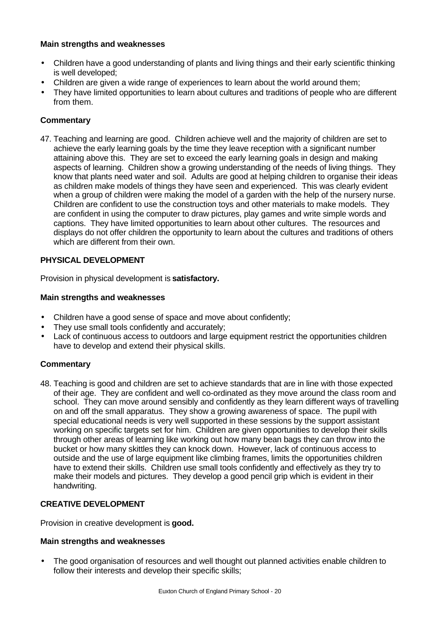# **Main strengths and weaknesses**

- Children have a good understanding of plants and living things and their early scientific thinking is well developed;
- Children are given a wide range of experiences to learn about the world around them;
- They have limited opportunities to learn about cultures and traditions of people who are different from them.

# **Commentary**

47. Teaching and learning are good. Children achieve well and the majority of children are set to achieve the early learning goals by the time they leave reception with a significant number attaining above this. They are set to exceed the early learning goals in design and making aspects of learning. Children show a growing understanding of the needs of living things. They know that plants need water and soil. Adults are good at helping children to organise their ideas as children make models of things they have seen and experienced. This was clearly evident when a group of children were making the model of a garden with the help of the nursery nurse. Children are confident to use the construction toys and other materials to make models. They are confident in using the computer to draw pictures, play games and write simple words and captions. They have limited opportunities to learn about other cultures. The resources and displays do not offer children the opportunity to learn about the cultures and traditions of others which are different from their own.

# **PHYSICAL DEVELOPMENT**

Provision in physical development is **satisfactory.**

# **Main strengths and weaknesses**

- Children have a good sense of space and move about confidently;
- They use small tools confidently and accurately:
- Lack of continuous access to outdoors and large equipment restrict the opportunities children have to develop and extend their physical skills.

# **Commentary**

48. Teaching is good and children are set to achieve standards that are in line with those expected of their age. They are confident and well co-ordinated as they move around the class room and school. They can move around sensibly and confidently as they learn different ways of travelling on and off the small apparatus. They show a growing awareness of space. The pupil with special educational needs is very well supported in these sessions by the support assistant working on specific targets set for him. Children are given opportunities to develop their skills through other areas of learning like working out how many bean bags they can throw into the bucket or how many skittles they can knock down. However, lack of continuous access to outside and the use of large equipment like climbing frames, limits the opportunities children have to extend their skills. Children use small tools confidently and effectively as they try to make their models and pictures. They develop a good pencil grip which is evident in their handwriting.

#### **CREATIVE DEVELOPMENT**

Provision in creative development is **good.**

#### **Main strengths and weaknesses**

• The good organisation of resources and well thought out planned activities enable children to follow their interests and develop their specific skills;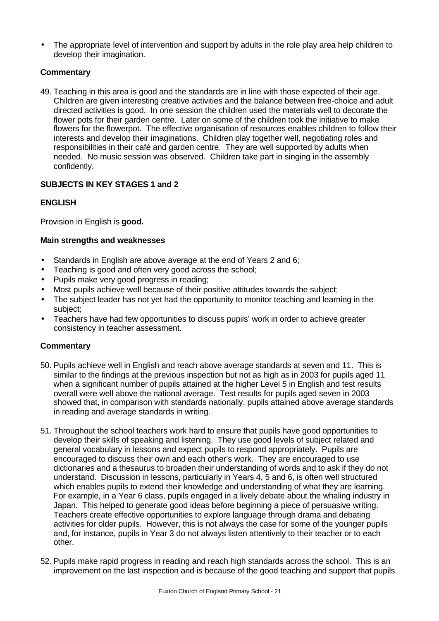• The appropriate level of intervention and support by adults in the role play area help children to develop their imagination.

# **Commentary**

49. Teaching in this area is good and the standards are in line with those expected of their age. Children are given interesting creative activities and the balance between free-choice and adult directed activities is good. In one session the children used the materials well to decorate the flower pots for their garden centre. Later on some of the children took the initiative to make flowers for the flowerpot. The effective organisation of resources enables children to follow their interests and develop their imaginations. Children play together well, negotiating roles and responsibilities in their café and garden centre. They are well supported by adults when needed. No music session was observed. Children take part in singing in the assembly confidently.

# **SUBJECTS IN KEY STAGES 1 and 2**

# **ENGLISH**

Provision in English is **good.**

# **Main strengths and weaknesses**

- Standards in English are above average at the end of Years 2 and 6;
- Teaching is good and often very good across the school;
- Pupils make very good progress in reading;
- Most pupils achieve well because of their positive attitudes towards the subject;
- The subject leader has not yet had the opportunity to monitor teaching and learning in the subject;
- Teachers have had few opportunities to discuss pupils' work in order to achieve greater consistency in teacher assessment.

- 50. Pupils achieve well in English and reach above average standards at seven and 11. This is similar to the findings at the previous inspection but not as high as in 2003 for pupils aged 11 when a significant number of pupils attained at the higher Level 5 in English and test results overall were well above the national average. Test results for pupils aged seven in 2003 showed that, in comparison with standards nationally, pupils attained above average standards in reading and average standards in writing.
- 51. Throughout the school teachers work hard to ensure that pupils have good opportunities to develop their skills of speaking and listening. They use good levels of subject related and general vocabulary in lessons and expect pupils to respond appropriately. Pupils are encouraged to discuss their own and each other's work. They are encouraged to use dictionaries and a thesaurus to broaden their understanding of words and to ask if they do not understand. Discussion in lessons, particularly in Years 4, 5 and 6, is often well structured which enables pupils to extend their knowledge and understanding of what they are learning. For example, in a Year 6 class, pupils engaged in a lively debate about the whaling industry in Japan. This helped to generate good ideas before beginning a piece of persuasive writing. Teachers create effective opportunities to explore language through drama and debating activities for older pupils. However, this is not always the case for some of the younger pupils and, for instance, pupils in Year 3 do not always listen attentively to their teacher or to each other.
- 52. Pupils make rapid progress in reading and reach high standards across the school. This is an improvement on the last inspection and is because of the good teaching and support that pupils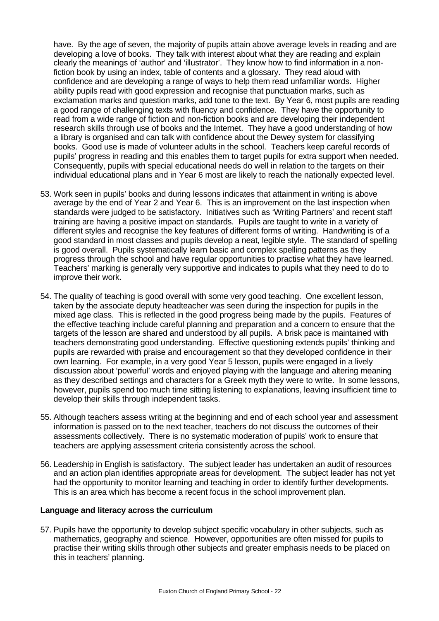have. By the age of seven, the majority of pupils attain above average levels in reading and are developing a love of books. They talk with interest about what they are reading and explain clearly the meanings of 'author' and 'illustrator'. They know how to find information in a nonfiction book by using an index, table of contents and a glossary. They read aloud with confidence and are developing a range of ways to help them read unfamiliar words. Higher ability pupils read with good expression and recognise that punctuation marks, such as exclamation marks and question marks, add tone to the text. By Year 6, most pupils are reading a good range of challenging texts with fluency and confidence. They have the opportunity to read from a wide range of fiction and non-fiction books and are developing their independent research skills through use of books and the Internet. They have a good understanding of how a library is organised and can talk with confidence about the Dewey system for classifying books. Good use is made of volunteer adults in the school. Teachers keep careful records of pupils' progress in reading and this enables them to target pupils for extra support when needed. Consequently, pupils with special educational needs do well in relation to the targets on their individual educational plans and in Year 6 most are likely to reach the nationally expected level.

- 53. Work seen in pupils' books and during lessons indicates that attainment in writing is above average by the end of Year 2 and Year 6. This is an improvement on the last inspection when standards were judged to be satisfactory. Initiatives such as 'Writing Partners' and recent staff training are having a positive impact on standards. Pupils are taught to write in a variety of different styles and recognise the key features of different forms of writing. Handwriting is of a good standard in most classes and pupils develop a neat, legible style. The standard of spelling is good overall. Pupils systematically learn basic and complex spelling patterns as they progress through the school and have regular opportunities to practise what they have learned. Teachers' marking is generally very supportive and indicates to pupils what they need to do to improve their work.
- 54. The quality of teaching is good overall with some very good teaching. One excellent lesson, taken by the associate deputy headteacher was seen during the inspection for pupils in the mixed age class. This is reflected in the good progress being made by the pupils. Features of the effective teaching include careful planning and preparation and a concern to ensure that the targets of the lesson are shared and understood by all pupils. A brisk pace is maintained with teachers demonstrating good understanding. Effective questioning extends pupils' thinking and pupils are rewarded with praise and encouragement so that they developed confidence in their own learning. For example, in a very good Year 5 lesson, pupils were engaged in a lively discussion about 'powerful' words and enjoyed playing with the language and altering meaning as they described settings and characters for a Greek myth they were to write. In some lessons, however, pupils spend too much time sitting listening to explanations, leaving insufficient time to develop their skills through independent tasks.
- 55. Although teachers assess writing at the beginning and end of each school year and assessment information is passed on to the next teacher, teachers do not discuss the outcomes of their assessments collectively. There is no systematic moderation of pupils' work to ensure that teachers are applying assessment criteria consistently across the school.
- 56. Leadership in English is satisfactory. The subject leader has undertaken an audit of resources and an action plan identifies appropriate areas for development. The subject leader has not yet had the opportunity to monitor learning and teaching in order to identify further developments. This is an area which has become a recent focus in the school improvement plan.

# **Language and literacy across the curriculum**

57. Pupils have the opportunity to develop subject specific vocabulary in other subjects, such as mathematics, geography and science. However, opportunities are often missed for pupils to practise their writing skills through other subjects and greater emphasis needs to be placed on this in teachers' planning.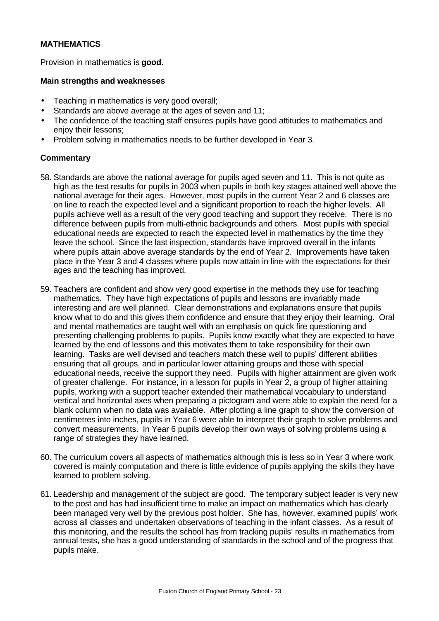# **MATHEMATICS**

Provision in mathematics is **good.**

### **Main strengths and weaknesses**

- Teaching in mathematics is very good overall;
- Standards are above average at the ages of seven and 11;
- The confidence of the teaching staff ensures pupils have good attitudes to mathematics and enjoy their lessons;
- Problem solving in mathematics needs to be further developed in Year 3.

- 58. Standards are above the national average for pupils aged seven and 11. This is not quite as high as the test results for pupils in 2003 when pupils in both key stages attained well above the national average for their ages. However, most pupils in the current Year 2 and 6 classes are on line to reach the expected level and a significant proportion to reach the higher levels. All pupils achieve well as a result of the very good teaching and support they receive. There is no difference between pupils from multi-ethnic backgrounds and others. Most pupils with special educational needs are expected to reach the expected level in mathematics by the time they leave the school. Since the last inspection, standards have improved overall in the infants where pupils attain above average standards by the end of Year 2. Improvements have taken place in the Year 3 and 4 classes where pupils now attain in line with the expectations for their ages and the teaching has improved.
- 59. Teachers are confident and show very good expertise in the methods they use for teaching mathematics. They have high expectations of pupils and lessons are invariably made interesting and are well planned. Clear demonstrations and explanations ensure that pupils know what to do and this gives them confidence and ensure that they enjoy their learning. Oral and mental mathematics are taught well with an emphasis on quick fire questioning and presenting challenging problems to pupils. Pupils know exactly what they are expected to have learned by the end of lessons and this motivates them to take responsibility for their own learning. Tasks are well devised and teachers match these well to pupils' different abilities ensuring that all groups, and in particular lower attaining groups and those with special educational needs, receive the support they need. Pupils with higher attainment are given work of greater challenge. For instance, in a lesson for pupils in Year 2, a group of higher attaining pupils, working with a support teacher extended their mathematical vocabulary to understand vertical and horizontal axes when preparing a pictogram and were able to explain the need for a blank column when no data was available. After plotting a line graph to show the conversion of centimetres into inches, pupils in Year 6 were able to interpret their graph to solve problems and convert measurements. In Year 6 pupils develop their own ways of solving problems using a range of strategies they have learned.
- 60. The curriculum covers all aspects of mathematics although this is less so in Year 3 where work covered is mainly computation and there is little evidence of pupils applying the skills they have learned to problem solving.
- 61. Leadership and management of the subject are good. The temporary subject leader is very new to the post and has had insufficient time to make an impact on mathematics which has clearly been managed very well by the previous post holder. She has, however, examined pupils' work across all classes and undertaken observations of teaching in the infant classes. As a result of this monitoring, and the results the school has from tracking pupils' results in mathematics from annual tests, she has a good understanding of standards in the school and of the progress that pupils make.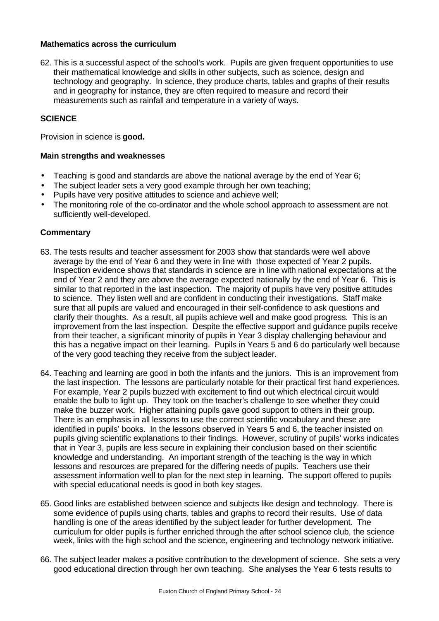# **Mathematics across the curriculum**

62. This is a successful aspect of the school's work. Pupils are given frequent opportunities to use their mathematical knowledge and skills in other subjects, such as science, design and technology and geography. In science, they produce charts, tables and graphs of their results and in geography for instance, they are often required to measure and record their measurements such as rainfall and temperature in a variety of ways.

## **SCIENCE**

Provision in science is **good.**

#### **Main strengths and weaknesses**

- Teaching is good and standards are above the national average by the end of Year 6;
- The subject leader sets a very good example through her own teaching;
- Pupils have very positive attitudes to science and achieve well;
- The monitoring role of the co-ordinator and the whole school approach to assessment are not sufficiently well-developed.

- 63. The tests results and teacher assessment for 2003 show that standards were well above average by the end of Year 6 and they were in line with those expected of Year 2 pupils. Inspection evidence shows that standards in science are in line with national expectations at the end of Year 2 and they are above the average expected nationally by the end of Year 6. This is similar to that reported in the last inspection. The majority of pupils have very positive attitudes to science. They listen well and are confident in conducting their investigations. Staff make sure that all pupils are valued and encouraged in their self-confidence to ask questions and clarify their thoughts. As a result, all pupils achieve well and make good progress. This is an improvement from the last inspection. Despite the effective support and guidance pupils receive from their teacher, a significant minority of pupils in Year 3 display challenging behaviour and this has a negative impact on their learning. Pupils in Years 5 and 6 do particularly well because of the very good teaching they receive from the subject leader.
- 64. Teaching and learning are good in both the infants and the juniors. This is an improvement from the last inspection. The lessons are particularly notable for their practical first hand experiences. For example, Year 2 pupils buzzed with excitement to find out which electrical circuit would enable the bulb to light up. They took on the teacher's challenge to see whether they could make the buzzer work. Higher attaining pupils gave good support to others in their group. There is an emphasis in all lessons to use the correct scientific vocabulary and these are identified in pupils' books. In the lessons observed in Years 5 and 6, the teacher insisted on pupils giving scientific explanations to their findings. However, scrutiny of pupils' works indicates that in Year 3, pupils are less secure in explaining their conclusion based on their scientific knowledge and understanding. An important strength of the teaching is the way in which lessons and resources are prepared for the differing needs of pupils. Teachers use their assessment information well to plan for the next step in learning. The support offered to pupils with special educational needs is good in both key stages.
- 65. Good links are established between science and subjects like design and technology. There is some evidence of pupils using charts, tables and graphs to record their results. Use of data handling is one of the areas identified by the subject leader for further development. The curriculum for older pupils is further enriched through the after school science club, the science week, links with the high school and the science, engineering and technology network initiative.
- 66. The subject leader makes a positive contribution to the development of science. She sets a very good educational direction through her own teaching. She analyses the Year 6 tests results to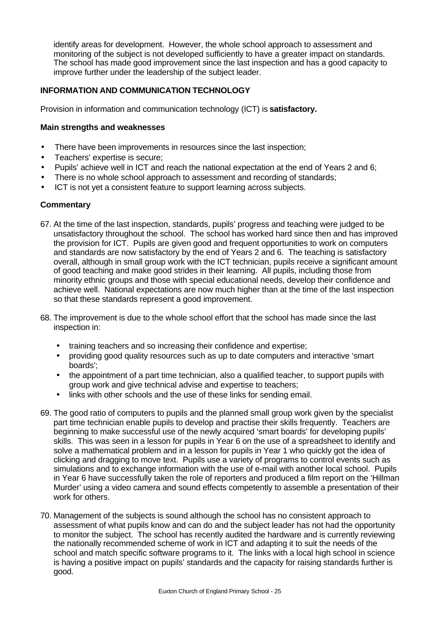identify areas for development. However, the whole school approach to assessment and monitoring of the subject is not developed sufficiently to have a greater impact on standards. The school has made good improvement since the last inspection and has a good capacity to improve further under the leadership of the subject leader.

# **INFORMATION AND COMMUNICATION TECHNOLOGY**

Provision in information and communication technology (ICT) is **satisfactory.**

## **Main strengths and weaknesses**

- There have been improvements in resources since the last inspection;
- Teachers' expertise is secure;
- Pupils' achieve well in ICT and reach the national expectation at the end of Years 2 and 6;
- There is no whole school approach to assessment and recording of standards;
- ICT is not yet a consistent feature to support learning across subjects.

- 67. At the time of the last inspection, standards, pupils' progress and teaching were judged to be unsatisfactory throughout the school. The school has worked hard since then and has improved the provision for ICT. Pupils are given good and frequent opportunities to work on computers and standards are now satisfactory by the end of Years 2 and 6. The teaching is satisfactory overall, although in small group work with the ICT technician, pupils receive a significant amount of good teaching and make good strides in their learning. All pupils, including those from minority ethnic groups and those with special educational needs, develop their confidence and achieve well. National expectations are now much higher than at the time of the last inspection so that these standards represent a good improvement.
- 68. The improvement is due to the whole school effort that the school has made since the last inspection in:
	- training teachers and so increasing their confidence and expertise;
	- providing good quality resources such as up to date computers and interactive 'smart boards';
	- the appointment of a part time technician, also a qualified teacher, to support pupils with group work and give technical advise and expertise to teachers;
	- links with other schools and the use of these links for sending email.
- 69. The good ratio of computers to pupils and the planned small group work given by the specialist part time technician enable pupils to develop and practise their skills frequently. Teachers are beginning to make successful use of the newly acquired 'smart boards' for developing pupils' skills. This was seen in a lesson for pupils in Year 6 on the use of a spreadsheet to identify and solve a mathematical problem and in a lesson for pupils in Year 1 who quickly got the idea of clicking and dragging to move text. Pupils use a variety of programs to control events such as simulations and to exchange information with the use of e-mail with another local school. Pupils in Year 6 have successfully taken the role of reporters and produced a film report on the 'Hillman Murder' using a video camera and sound effects competently to assemble a presentation of their work for others.
- 70. Management of the subjects is sound although the school has no consistent approach to assessment of what pupils know and can do and the subject leader has not had the opportunity to monitor the subject. The school has recently audited the hardware and is currently reviewing the nationally recommended scheme of work in ICT and adapting it to suit the needs of the school and match specific software programs to it. The links with a local high school in science is having a positive impact on pupils' standards and the capacity for raising standards further is good.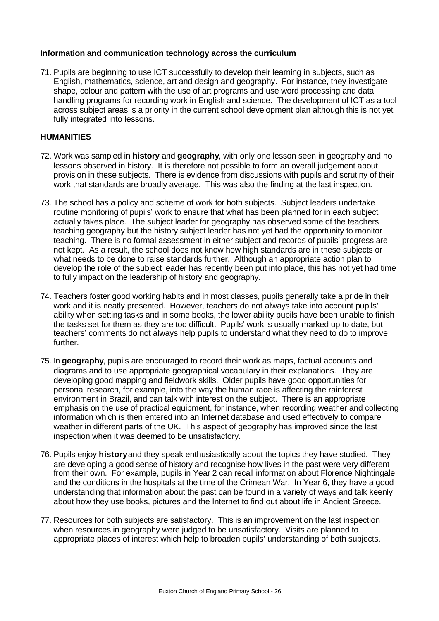# **Information and communication technology across the curriculum**

71. Pupils are beginning to use ICT successfully to develop their learning in subjects, such as English, mathematics, science, art and design and geography. For instance, they investigate shape, colour and pattern with the use of art programs and use word processing and data handling programs for recording work in English and science. The development of ICT as a tool across subject areas is a priority in the current school development plan although this is not yet fully integrated into lessons.

# **HUMANITIES**

- 72. Work was sampled in **history** and **geography**, with only one lesson seen in geography and no lessons observed in history. It is therefore not possible to form an overall judgement about provision in these subjects. There is evidence from discussions with pupils and scrutiny of their work that standards are broadly average. This was also the finding at the last inspection.
- 73. The school has a policy and scheme of work for both subjects. Subject leaders undertake routine monitoring of pupils' work to ensure that what has been planned for in each subject actually takes place. The subject leader for geography has observed some of the teachers teaching geography but the history subject leader has not yet had the opportunity to monitor teaching. There is no formal assessment in either subject and records of pupils' progress are not kept. As a result, the school does not know how high standards are in these subjects or what needs to be done to raise standards further. Although an appropriate action plan to develop the role of the subject leader has recently been put into place, this has not yet had time to fully impact on the leadership of history and geography.
- 74. Teachers foster good working habits and in most classes, pupils generally take a pride in their work and it is neatly presented. However, teachers do not always take into account pupils' ability when setting tasks and in some books, the lower ability pupils have been unable to finish the tasks set for them as they are too difficult. Pupils' work is usually marked up to date, but teachers' comments do not always help pupils to understand what they need to do to improve further.
- 75. In **geography**, pupils are encouraged to record their work as maps, factual accounts and diagrams and to use appropriate geographical vocabulary in their explanations. They are developing good mapping and fieldwork skills. Older pupils have good opportunities for personal research, for example, into the way the human race is affecting the rainforest environment in Brazil, and can talk with interest on the subject. There is an appropriate emphasis on the use of practical equipment, for instance, when recording weather and collecting information which is then entered into an Internet database and used effectively to compare weather in different parts of the UK. This aspect of geography has improved since the last inspection when it was deemed to be unsatisfactory.
- 76. Pupils enjoy **history** and they speak enthusiastically about the topics they have studied. They are developing a good sense of history and recognise how lives in the past were very different from their own. For example, pupils in Year 2 can recall information about Florence Nightingale and the conditions in the hospitals at the time of the Crimean War. In Year 6, they have a good understanding that information about the past can be found in a variety of ways and talk keenly about how they use books, pictures and the Internet to find out about life in Ancient Greece.
- 77. Resources for both subjects are satisfactory. This is an improvement on the last inspection when resources in geography were judged to be unsatisfactory. Visits are planned to appropriate places of interest which help to broaden pupils' understanding of both subjects.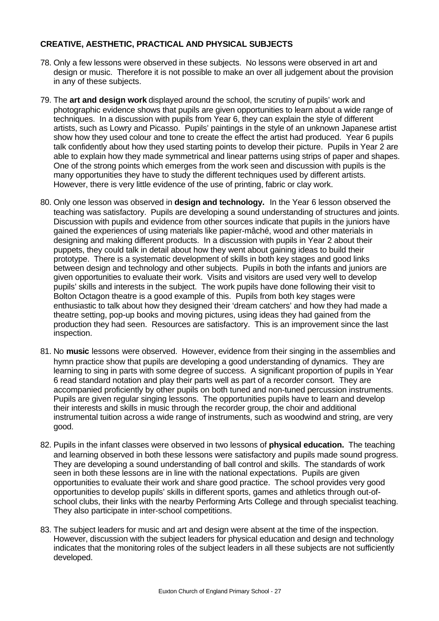# **CREATIVE, AESTHETIC, PRACTICAL AND PHYSICAL SUBJECTS**

- 78. Only a few lessons were observed in these subjects. No lessons were observed in art and design or music. Therefore it is not possible to make an over all judgement about the provision in any of these subjects.
- 79. The **art and design work** displayed around the school, the scrutiny of pupils' work and photographic evidence shows that pupils are given opportunities to learn about a wide range of techniques. In a discussion with pupils from Year 6, they can explain the style of different artists, such as Lowry and Picasso. Pupils' paintings in the style of an unknown Japanese artist show how they used colour and tone to create the effect the artist had produced. Year 6 pupils talk confidently about how they used starting points to develop their picture. Pupils in Year 2 are able to explain how they made symmetrical and linear patterns using strips of paper and shapes. One of the strong points which emerges from the work seen and discussion with pupils is the many opportunities they have to study the different techniques used by different artists. However, there is very little evidence of the use of printing, fabric or clay work.
- 80. Only one lesson was observed in **design and technology.** In the Year 6 lesson observed the teaching was satisfactory. Pupils are developing a sound understanding of structures and joints. Discussion with pupils and evidence from other sources indicate that pupils in the juniors have gained the experiences of using materials like papier-mâché, wood and other materials in designing and making different products. In a discussion with pupils in Year 2 about their puppets, they could talk in detail about how they went about gaining ideas to build their prototype. There is a systematic development of skills in both key stages and good links between design and technology and other subjects. Pupils in both the infants and juniors are given opportunities to evaluate their work. Visits and visitors are used very well to develop pupils' skills and interests in the subject. The work pupils have done following their visit to Bolton Octagon theatre is a good example of this. Pupils from both key stages were enthusiastic to talk about how they designed their 'dream catchers' and how they had made a theatre setting, pop-up books and moving pictures, using ideas they had gained from the production they had seen. Resources are satisfactory. This is an improvement since the last inspection.
- 81. No **music** lessons were observed. However, evidence from their singing in the assemblies and hymn practice show that pupils are developing a good understanding of dynamics. They are learning to sing in parts with some degree of success. A significant proportion of pupils in Year 6 read standard notation and play their parts well as part of a recorder consort. They are accompanied proficiently by other pupils on both tuned and non-tuned percussion instruments. Pupils are given regular singing lessons. The opportunities pupils have to learn and develop their interests and skills in music through the recorder group, the choir and additional instrumental tuition across a wide range of instruments, such as woodwind and string, are very good.
- 82. Pupils in the infant classes were observed in two lessons of **physical education.** The teaching and learning observed in both these lessons were satisfactory and pupils made sound progress. They are developing a sound understanding of ball control and skills. The standards of work seen in both these lessons are in line with the national expectations. Pupils are given opportunities to evaluate their work and share good practice. The school provides very good opportunities to develop pupils' skills in different sports, games and athletics through out-ofschool clubs, their links with the nearby Performing Arts College and through specialist teaching. They also participate in inter-school competitions.
- 83. The subject leaders for music and art and design were absent at the time of the inspection. However, discussion with the subject leaders for physical education and design and technology indicates that the monitoring roles of the subject leaders in all these subjects are not sufficiently developed.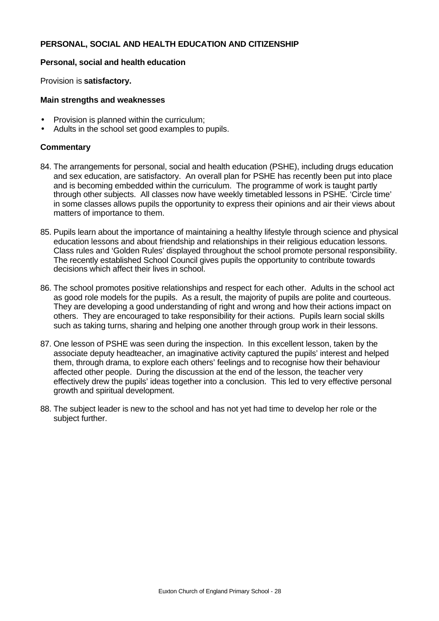# **PERSONAL, SOCIAL AND HEALTH EDUCATION AND CITIZENSHIP**

### **Personal, social and health education**

Provision is **satisfactory.**

### **Main strengths and weaknesses**

- Provision is planned within the curriculum;
- Adults in the school set good examples to pupils.

- 84. The arrangements for personal, social and health education (PSHE), including drugs education and sex education, are satisfactory. An overall plan for PSHE has recently been put into place and is becoming embedded within the curriculum. The programme of work is taught partly through other subjects. All classes now have weekly timetabled lessons in PSHE. 'Circle time' in some classes allows pupils the opportunity to express their opinions and air their views about matters of importance to them.
- 85. Pupils learn about the importance of maintaining a healthy lifestyle through science and physical education lessons and about friendship and relationships in their religious education lessons. Class rules and 'Golden Rules' displayed throughout the school promote personal responsibility. The recently established School Council gives pupils the opportunity to contribute towards decisions which affect their lives in school.
- 86. The school promotes positive relationships and respect for each other. Adults in the school act as good role models for the pupils. As a result, the majority of pupils are polite and courteous. They are developing a good understanding of right and wrong and how their actions impact on others. They are encouraged to take responsibility for their actions. Pupils learn social skills such as taking turns, sharing and helping one another through group work in their lessons.
- 87. One lesson of PSHE was seen during the inspection. In this excellent lesson, taken by the associate deputy headteacher, an imaginative activity captured the pupils' interest and helped them, through drama, to explore each others' feelings and to recognise how their behaviour affected other people. During the discussion at the end of the lesson, the teacher very effectively drew the pupils' ideas together into a conclusion. This led to very effective personal growth and spiritual development.
- 88. The subject leader is new to the school and has not yet had time to develop her role or the subject further.